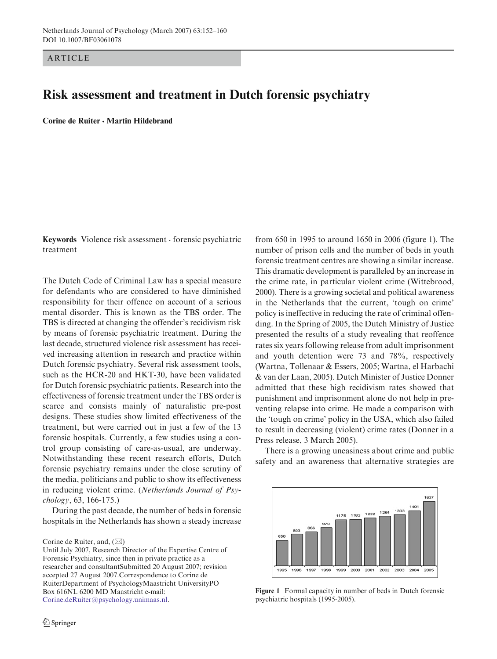ARTICLE

# Risk assessment and treatment in Dutch forensic psychiatry

Corine de Ruiter • Martin Hildebrand

Keywords Violence risk assessment of forensic psychiatric treatment

The Dutch Code of Criminal Law has a special measure for defendants who are considered to have diminished responsibility for their offence on account of a serious mental disorder. This is known as the TBS order. The TBS is directed at changing the offender's recidivism risk by means of forensic psychiatric treatment. During the last decade, structured violence risk assessment has received increasing attention in research and practice within Dutch forensic psychiatry. Several risk assessment tools, such as the HCR-20 and HKT-30, have been validated for Dutch forensic psychiatric patients. Research into the effectiveness of forensic treatment under the TBS order is scarce and consists mainly of naturalistic pre-post designs. These studies show limited effectiveness of the treatment, but were carried out in just a few of the 13 forensic hospitals. Currently, a few studies using a control group consisting of care-as-usual, are underway. Notwithstanding these recent research efforts, Dutch forensic psychiatry remains under the close scrutiny of the media, politicians and public to show its effectiveness in reducing violent crime. (Netherlands Journal of Psychology, 63, 166-175.)

During the past decade, the number of beds in forensic hospitals in the Netherlands has shown a steady increase

Corine de Ruiter, and,  $(\boxtimes)$ 

 $\mathcal{Q}$  Springer

from 650 in 1995 to around 1650 in 2006 (figure 1). The number of prison cells and the number of beds in youth forensic treatment centres are showing a similar increase. This dramatic development is paralleled by an increase in the crime rate, in particular violent crime (Wittebrood, 2000). There is a growing societal and political awareness in the Netherlands that the current, 'tough on crime' policy is ineffective in reducing the rate of criminal offending. In the Spring of 2005, the Dutch Ministry of Justice presented the results of a study revealing that reoffence rates six years following release from adult imprisonment and youth detention were 73 and 78%, respectively (Wartna, Tollenaar & Essers, 2005; Wartna, el Harbachi & van der Laan, 2005). Dutch Minister of Justice Donner admitted that these high recidivism rates showed that punishment and imprisonment alone do not help in preventing relapse into crime. He made a comparison with the 'tough on crime' policy in the USA, which also failed to result in decreasing (violent) crime rates (Donner in a Press release, 3 March 2005).

There is a growing uneasiness about crime and public safety and an awareness that alternative strategies are



Figure 1 Formal capacity in number of beds in Dutch forensic psychiatric hospitals (1995-2005).

Until July 2007, Research Director of the Expertise Centre of Forensic Psychiatry, since then in private practice as a researcher and consultantSubmitted 20 August 2007; revision accepted 27 August 2007.Correspondence to Corine de RuiterDepartment of PsychologyMaastricht UniversityPO Box 616NL 6200 MD Maastricht e-mail: Corine.deRuiter@psychology.unimaas.nl.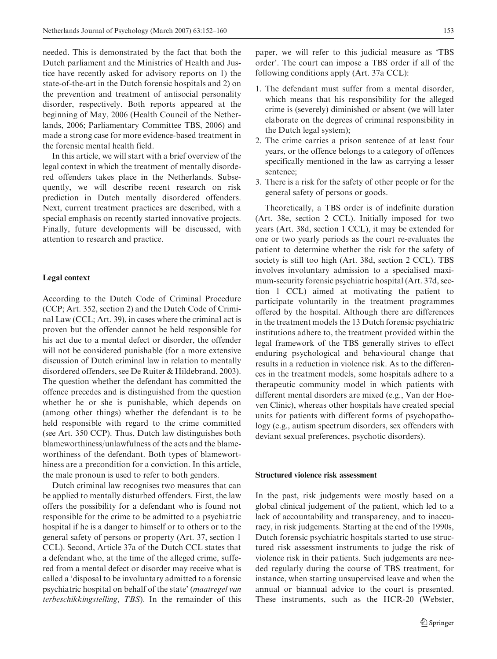needed. This is demonstrated by the fact that both the Dutch parliament and the Ministries of Health and Justice have recently asked for advisory reports on 1) the state-of-the-art in the Dutch forensic hospitals and 2) on the prevention and treatment of antisocial personality disorder, respectively. Both reports appeared at the beginning of May, 2006 (Health Council of the Netherlands, 2006; Parliamentary Committee TBS, 2006) and made a strong case for more evidence-based treatment in the forensic mental health field.

In this article, we will start with a brief overview of the legal context in which the treatment of mentally disordered offenders takes place in the Netherlands. Subsequently, we will describe recent research on risk prediction in Dutch mentally disordered offenders. Next, current treatment practices are described, with a special emphasis on recently started innovative projects. Finally, future developments will be discussed, with attention to research and practice.

## Legal context

According to the Dutch Code of Criminal Procedure (CCP; Art. 352, section 2) and the Dutch Code of Criminal Law (CCL; Art. 39), in cases where the criminal act is proven but the offender cannot be held responsible for his act due to a mental defect or disorder, the offender will not be considered punishable (for a more extensive discussion of Dutch criminal law in relation to mentally disordered offenders, see De Ruiter & Hildebrand, 2003). The question whether the defendant has committed the offence precedes and is distinguished from the question whether he or she is punishable, which depends on (among other things) whether the defendant is to be held responsible with regard to the crime committed (see Art. 350 CCP). Thus, Dutch law distinguishes both blameworthiness/unlawfulness of the acts and the blameworthiness of the defendant. Both types of blameworthiness are a precondition for a conviction. In this article, the male pronoun is used to refer to both genders.

Dutch criminal law recognises two measures that can be applied to mentally disturbed offenders. First, the law offers the possibility for a defendant who is found not responsible for the crime to be admitted to a psychiatric hospital if he is a danger to himself or to others or to the general safety of persons or property (Art. 37, section 1 CCL). Second, Article 37a of the Dutch CCL states that a defendant who, at the time of the alleged crime, suffered from a mental defect or disorder may receive what is called a 'disposal to be involuntary admitted to a forensic psychiatric hospital on behalf of the state' (maatregel van terbeschikkingstelling, TBS). In the remainder of this

paper, we will refer to this judicial measure as 'TBS order'. The court can impose a TBS order if all of the following conditions apply (Art. 37a CCL):

- 1. The defendant must suffer from a mental disorder, which means that his responsibility for the alleged crime is (severely) diminished or absent (we will later elaborate on the degrees of criminal responsibility in the Dutch legal system);
- 2. The crime carries a prison sentence of at least four years, or the offence belongs to a category of offences specifically mentioned in the law as carrying a lesser sentence;
- 3. There is a risk for the safety of other people or for the general safety of persons or goods.

Theoretically, a TBS order is of indefinite duration (Art. 38e, section 2 CCL). Initially imposed for two years (Art. 38d, section 1 CCL), it may be extended for one or two yearly periods as the court re-evaluates the patient to determine whether the risk for the safety of society is still too high (Art. 38d, section 2 CCL). TBS involves involuntary admission to a specialised maximum-security forensic psychiatric hospital (Art. 37d, section 1 CCL) aimed at motivating the patient to participate voluntarily in the treatment programmes offered by the hospital. Although there are differences in the treatment models the 13 Dutch forensic psychiatric institutions adhere to, the treatment provided within the legal framework of the TBS generally strives to effect enduring psychological and behavioural change that results in a reduction in violence risk. As to the differences in the treatment models, some hospitals adhere to a therapeutic community model in which patients with different mental disorders are mixed (e.g., Van der Hoeven Clinic), whereas other hospitals have created special units for patients with different forms of psychopathology (e.g., autism spectrum disorders, sex offenders with deviant sexual preferences, psychotic disorders).

## Structured violence risk assessment

In the past, risk judgements were mostly based on a global clinical judgement of the patient, which led to a lack of accountability and transparency, and to inaccuracy, in risk judgements. Starting at the end of the 1990s, Dutch forensic psychiatric hospitals started to use structured risk assessment instruments to judge the risk of violence risk in their patients. Such judgements are needed regularly during the course of TBS treatment, for instance, when starting unsupervised leave and when the annual or biannual advice to the court is presented. These instruments, such as the HCR-20 (Webster,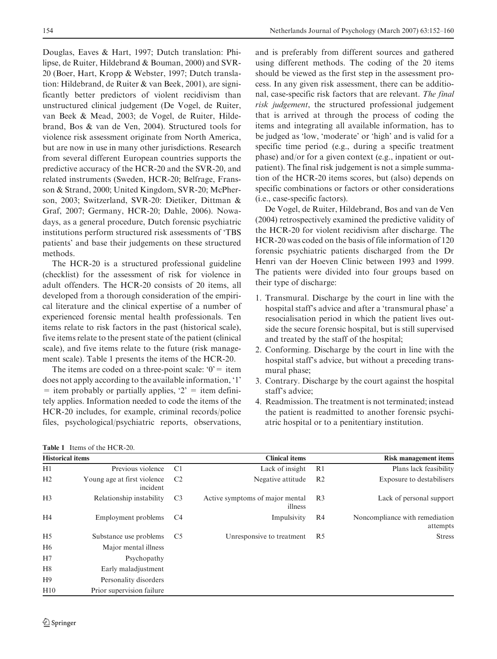Douglas, Eaves & Hart, 1997; Dutch translation: Philipse, de Ruiter, Hildebrand & Bouman, 2000) and SVR-20 (Boer, Hart, Kropp & Webster, 1997; Dutch translation: Hildebrand, de Ruiter & van Beek, 2001), are significantly better predictors of violent recidivism than unstructured clinical judgement (De Vogel, de Ruiter, van Beek & Mead, 2003; de Vogel, de Ruiter, Hildebrand, Bos & van de Ven, 2004). Structured tools for violence risk assessment originate from North America, but are now in use in many other jurisdictions. Research from several different European countries supports the predictive accuracy of the HCR-20 and the SVR-20, and related instruments (Sweden, HCR-20; Belfrage, Fransson & Strand, 2000; United Kingdom, SVR-20; McPherson, 2003; Switzerland, SVR-20: Dietiker, Dittman & Graf, 2007; Germany, HCR-20; Dahle, 2006). Nowadays, as a general procedure, Dutch forensic psychiatric institutions perform structured risk assessments of 'TBS patients' and base their judgements on these structured methods.

The HCR-20 is a structured professional guideline (checklist) for the assessment of risk for violence in adult offenders. The HCR-20 consists of 20 items, all developed from a thorough consideration of the empirical literature and the clinical expertise of a number of experienced forensic mental health professionals. Ten items relate to risk factors in the past (historical scale), five items relate to the present state of the patient (clinical scale), and five items relate to the future (risk management scale). Table 1 presents the items of the HCR-20.

The items are coded on a three-point scale:  $0'$  = item does not apply according to the available information, '1'  $=$  item probably or partially applies, '2'  $=$  item definitely applies. Information needed to code the items of the HCR-20 includes, for example, criminal records/police files, psychological/psychiatric reports, observations, and is preferably from different sources and gathered using different methods. The coding of the 20 items should be viewed as the first step in the assessment process. In any given risk assessment, there can be additional, case-specific risk factors that are relevant. The final risk judgement, the structured professional judgement that is arrived at through the process of coding the items and integrating all available information, has to be judged as 'low, 'moderate' or 'high' and is valid for a specific time period (e.g., during a specific treatment phase) and/or for a given context (e.g., inpatient or outpatient). The final risk judgement is not a simple summation of the HCR-20 items scores, but (also) depends on specific combinations or factors or other considerations (i.e., case-specific factors).

De Vogel, de Ruiter, Hildebrand, Bos and van de Ven (2004) retrospectively examined the predictive validity of the HCR-20 for violent recidivism after discharge. The HCR-20 was coded on the basis of file information of 120 forensic psychiatric patients discharged from the Dr Henri van der Hoeven Clinic between 1993 and 1999. The patients were divided into four groups based on their type of discharge:

- 1. Transmural. Discharge by the court in line with the hospital staff's advice and after a 'transmural phase' a resocialisation period in which the patient lives outside the secure forensic hospital, but is still supervised and treated by the staff of the hospital;
- 2. Conforming. Discharge by the court in line with the hospital staff's advice, but without a preceding transmural phase;
- 3. Contrary. Discharge by the court against the hospital staff's advice;
- 4. Readmission. The treatment is not terminated; instead the patient is readmitted to another forensic psychiatric hospital or to a penitentiary institution.

| <b>Table 1</b> Items of the HCR-20. |  |
|-------------------------------------|--|
|-------------------------------------|--|

| <b>Historical items</b> |                                         |                | <b>Clinical items</b>                      |                | <b>Risk management items</b>               |  |
|-------------------------|-----------------------------------------|----------------|--------------------------------------------|----------------|--------------------------------------------|--|
| H1                      | Previous violence                       | C1             | Lack of insight                            | R1             | Plans lack feasibility                     |  |
| H <sub>2</sub>          | Young age at first violence<br>incident | C <sub>2</sub> | Negative attitude                          | R <sub>2</sub> | Exposure to destabilisers                  |  |
| H <sub>3</sub>          | Relationship instability                | C <sub>3</sub> | Active symptoms of major mental<br>illness | R <sub>3</sub> | Lack of personal support                   |  |
| H <sub>4</sub>          | Employment problems                     | C4             | Impulsivity                                | R4             | Noncompliance with remediation<br>attempts |  |
| H <sub>5</sub>          | Substance use problems                  | C5             | Unresponsive to treatment                  | R <sub>5</sub> | <b>Stress</b>                              |  |
| H <sub>6</sub>          | Major mental illness                    |                |                                            |                |                                            |  |
| H7                      | Psychopathy                             |                |                                            |                |                                            |  |
| H8                      | Early maladjustment                     |                |                                            |                |                                            |  |
| H <sup>9</sup>          | Personality disorders                   |                |                                            |                |                                            |  |
| H10                     | Prior supervision failure               |                |                                            |                |                                            |  |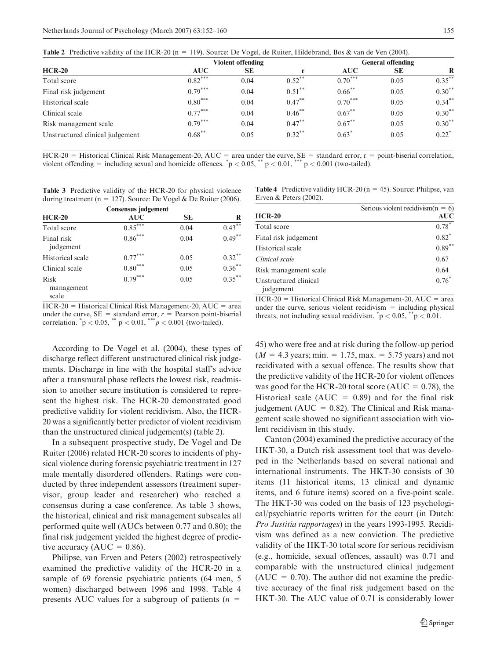|                                 |            | <b>Violent offending</b> |           | <b>General offending</b> |           |                     |
|---------------------------------|------------|--------------------------|-----------|--------------------------|-----------|---------------------|
| $HCR-20$                        | <b>AUC</b> | <b>SE</b>                |           | <b>AUC</b>               | <b>SE</b> | R                   |
| Total score                     | $0.82***$  | 0.04                     | $0.52$ ** | $0.70***$                | 0.05      | $0.35***$           |
| Final risk judgement            | $0.79***$  | 0.04                     | $0.51$ ** | $0.66$ **                | 0.05      | $0.30***$           |
| Historical scale                | $0.80***$  | 0.04                     | $0.47***$ | $0.70***$                | 0.05      | $0.34***$           |
| Clinical scale                  | $0.77***$  | 0.04                     | $0.46$ ** | $0.67***$                | 0.05      | $0.30***$           |
| Risk management scale           | $0.79***$  | 0.04                     | $0.47***$ | $0.67***$                | 0.05      | $0.30***$           |
| Unstructured clinical judgement | $0.68***$  | 0.05                     | $0.32***$ | 0.63                     | 0.05      | $0.22$ <sup>*</sup> |

HCR-20 = Historical Clinical Risk Management-20, AUC = area under the curve,  $SE =$  standard error,  $r =$  point-biserial correlation, violent offending = including sexual and homicide offences.  $\uparrow p < 0.05$ ,  $\uparrow\uparrow p < 0.01$ ,  $\uparrow\downarrow\uparrow p < 0.001$  (two-tailed).

Table 3 Predictive validity of the HCR-20 for physical violence during treatment (n = 127). Source: De Vogel & De Ruiter (2006).

| <b>Consensus</b> judgement  |            |      |           |  |  |
|-----------------------------|------------|------|-----------|--|--|
| $HCR-20$                    | <b>AUC</b> | SЕ   | R         |  |  |
| Total score                 | $0.85***$  | 0.04 | $0.43***$ |  |  |
| Final risk<br>judgement     | $0.86***$  | 0.04 | $0.49***$ |  |  |
| Historical scale            | $0.77***$  | 0.05 | $0.32***$ |  |  |
| Clinical scale              | $0.80***$  | 0.05 | $0.36***$ |  |  |
| Risk<br>management<br>scale | $0.79***$  | 0.05 | $0.35***$ |  |  |
|                             |            |      |           |  |  |

HCR-20 = Historical Clinical Risk Management-20, AUC = area under the curve,  $SE =$  standard error,  $r =$  Pearson point-biserial correlation.  $p < 0.05$ ,  $p < 0.01$ ,  $p > 0.001$  (two-tailed).

According to De Vogel et al. (2004), these types of discharge reflect different unstructured clinical risk judgements. Discharge in line with the hospital staff's advice after a transmural phase reflects the lowest risk, readmission to another secure institution is considered to represent the highest risk. The HCR-20 demonstrated good predictive validity for violent recidivism. Also, the HCR-20 was a significantly better predictor of violent recidivism than the unstructured clinical judgement(s) (table 2).

In a subsequent prospective study, De Vogel and De Ruiter (2006) related HCR-20 scores to incidents of physical violence during forensic psychiatric treatment in 127 male mentally disordered offenders. Ratings were conducted by three independent assessors (treatment supervisor, group leader and researcher) who reached a consensus during a case conference. As table 3 shows, the historical, clinical and risk management subscales all performed quite well (AUCs between 0.77 and 0.80); the final risk judgement yielded the highest degree of predictive accuracy (AUC =  $0.86$ ).

Philipse, van Erven and Peters (2002) retrospectively examined the predictive validity of the HCR-20 in a sample of 69 forensic psychiatric patients (64 men, 5) women) discharged between 1996 and 1998. Table 4 presents AUC values for a subgroup of patients  $(n =$ 

**Table 4** Predictive validity HCR-20 ( $n = 45$ ). Source: Philipse, van Erven & Peters (2002).

|                                    | Serious violent recidivism $(n = 6)$ |  |  |
|------------------------------------|--------------------------------------|--|--|
| $HCR-20$                           | AUC                                  |  |  |
| Total score                        | $0.78^*$                             |  |  |
| Final risk judgement               | $0.82^*$                             |  |  |
| Historical scale                   | $0.89***$                            |  |  |
| Clinical scale                     | 0.67                                 |  |  |
| Risk management scale              | 0.64                                 |  |  |
| Unstructured clinical<br>judgement | $0.76^*$                             |  |  |

HCR-20 = Historical Clinical Risk Management-20, AUC = area under the curve, serious violent recidivism  $=$  including physical threats, not including sexual recidivism.  $p < 0.05$ ,  $p < 0.01$ .

45) who were free and at risk during the follow-up period  $(M = 4.3 \text{ years}; \text{min.} = 1.75, \text{max.} = 5.75 \text{ years})$  and not recidivated with a sexual offence. The results show that the predictive validity of the HCR-20 for violent offences was good for the HCR-20 total score (AUC =  $0.78$ ), the Historical scale (AUC =  $0.89$ ) and for the final risk judgement ( $AUC = 0.82$ ). The Clinical and Risk management scale showed no significant association with violent recidivism in this study.

Canton (2004) examined the predictive accuracy of the HKT-30, a Dutch risk assessment tool that was developed in the Netherlands based on several national and international instruments. The HKT-30 consists of 30 items (11 historical items, 13 clinical and dynamic items, and 6 future items) scored on a five-point scale. The HKT-30 was coded on the basis of 123 psychological/psychiatric reports written for the court (in Dutch: Pro Justitia rapportages) in the years 1993-1995. Recidivism was defined as a new conviction. The predictive validity of the HKT-30 total score for serious recidivism (e.g., homicide, sexual offences, assault) was 0.71 and comparable with the unstructured clinical judgement  $(AUC = 0.70)$ . The author did not examine the predictive accuracy of the final risk judgement based on the HKT-30. The AUC value of 0.71 is considerably lower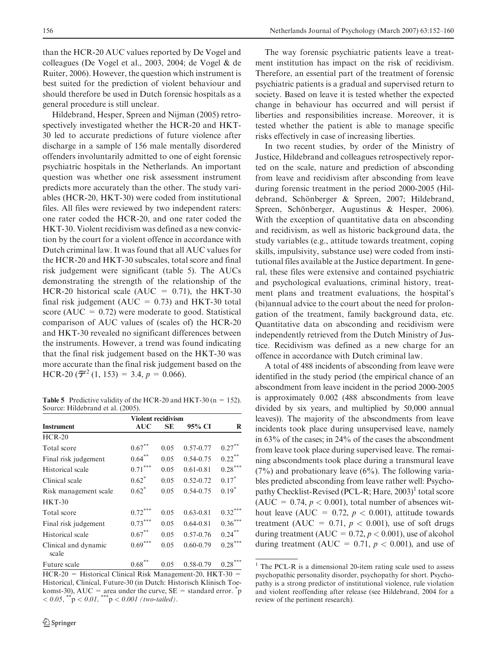than the HCR-20 AUC values reported by De Vogel and colleagues (De Vogel et al., 2003, 2004; de Vogel & de Ruiter, 2006). However, the question which instrument is best suited for the prediction of violent behaviour and should therefore be used in Dutch forensic hospitals as a general procedure is still unclear.

Hildebrand, Hesper, Spreen and Nijman (2005) retrospectively investigated whether the HCR-20 and HKT-30 led to accurate predictions of future violence after discharge in a sample of 156 male mentally disordered offenders involuntarily admitted to one of eight forensic psychiatric hospitals in the Netherlands. An important question was whether one risk assessment instrument predicts more accurately than the other. The study variables (HCR-20, HKT-30) were coded from institutional files. All files were reviewed by two independent raters: one rater coded the HCR-20, and one rater coded the HKT-30. Violent recidivism was defined as a new conviction by the court for a violent offence in accordance with Dutch criminal law. It was found that all AUC values for the HCR-20 and HKT-30 subscales, total score and final risk judgement were significant (table 5). The AUCs demonstrating the strength of the relationship of the HCR-20 historical scale (AUC =  $0.71$ ), the HKT-30 final risk judgement (AUC =  $0.73$ ) and HKT-30 total score (AUC =  $0.72$ ) were moderate to good. Statistical comparison of AUC values of (scales of) the HCR-20 and HKT-30 revealed no significant differences between the instruments. However, a trend was found indicating that the final risk judgement based on the HKT-30 was more accurate than the final risk judgement based on the HCR-20 ( $\overline{\tau}^2$  (1, 153) = 3.4,  $p = 0.066$ ).

**Table 5** Predictive validity of the HCR-20 and HKT-30 ( $n = 152$ ). Source: Hildebrand et al. (2005).

|                                                                                                                                                                                                                                                                                                              | Violent recidivism |      |               |                       |  |
|--------------------------------------------------------------------------------------------------------------------------------------------------------------------------------------------------------------------------------------------------------------------------------------------------------------|--------------------|------|---------------|-----------------------|--|
| <b>Instrument</b>                                                                                                                                                                                                                                                                                            | AUC                | SЕ   | 95% CI        | R                     |  |
| $HCR-20$                                                                                                                                                                                                                                                                                                     |                    |      |               |                       |  |
| Total score                                                                                                                                                                                                                                                                                                  | $0.67***$          | 0.05 | $0.57 - 0.77$ | $0.27***$             |  |
| Final risk judgement                                                                                                                                                                                                                                                                                         | $0.64***$          | 0.05 | $0.54 - 0.75$ | $0.22$ **             |  |
| Historical scale                                                                                                                                                                                                                                                                                             | $0.71***$          | 0.05 | $0.61 - 0.81$ | $0.28^{\ast\ast\ast}$ |  |
| Clinical scale                                                                                                                                                                                                                                                                                               | $0.62^*$           | 0.05 | $0.52 - 0.72$ | $0.17*$               |  |
| Risk management scale                                                                                                                                                                                                                                                                                        | $0.62^*$           | 0.05 | $0.54 - 0.75$ | $0.19*$               |  |
| $HKT-30$                                                                                                                                                                                                                                                                                                     |                    |      |               |                       |  |
| Total score                                                                                                                                                                                                                                                                                                  | $0.72***$          | 0.05 | $0.63 - 0.81$ | $0.32***$             |  |
| Final risk judgement                                                                                                                                                                                                                                                                                         | $0.73***$          | 0.05 | $0.64 - 0.81$ | $0.36***$             |  |
| Historical scale                                                                                                                                                                                                                                                                                             | $0.67***$          | 0.05 | $0.57 - 0.76$ | $0.24***$             |  |
| Clinical and dynamic<br>scale                                                                                                                                                                                                                                                                                | $0.69***$          | 0.05 | $0.60 - 0.79$ | $0.28***$             |  |
| Future scale                                                                                                                                                                                                                                                                                                 | 0.68               | 0.05 | 0.58-0.79     | 0.28                  |  |
| $\mathbf{H}\mathbf{C}\mathbf{D}$ $\mathbf{A}\mathbf{0}$ $\mathbf{H}$ $\mathbf{H}$ $\mathbf{H}$ $\mathbf{C}\mathbf{H}$ $\mathbf{H}$ $\mathbf{D}$ $\mathbf{H}$ $\mathbf{M}$ $\mathbf{H}$ $\mathbf{H}$ $\mathbf{C}\mathbf{D}$ $\mathbf{A}\mathbf{0}$ $\mathbf{H}\mathbf{H}$ $\mathbf{H}$ $\mathbf{D}\mathbf{0}$ |                    |      |               |                       |  |

HCR-20 = Historical Clinical Risk Management-20, HKT-30 = Historical, Clinical, Future-30 (in Dutch: Historisch Klinisch Toekomst-30),  $AUC =$  area under the curve,  $SE =$  standard error. <sup>\*</sup>p  $< 0.05,$  \*\*p  $< 0.01,$  \*\*\*p  $< 0.001$  (two-tailed).

The way forensic psychiatric patients leave a treatment institution has impact on the risk of recidivism. Therefore, an essential part of the treatment of forensic psychiatric patients is a gradual and supervised return to society. Based on leave it is tested whether the expected change in behaviour has occurred and will persist if liberties and responsibilities increase. Moreover, it is tested whether the patient is able to manage specific risks effectively in case of increasing liberties.

In two recent studies, by order of the Ministry of Justice, Hildebrand and colleagues retrospectively reported on the scale, nature and prediction of absconding from leave and recidivism after absconding from leave during forensic treatment in the period 2000-2005 (Hildebrand, Schönberger & Spreen, 2007; Hildebrand, Spreen, Schönberger, Augustinus & Hesper, 2006). With the exception of quantitative data on absconding and recidivism, as well as historic background data, the study variables (e.g., attitude towards treatment, coping skills, impulsivity, substance use) were coded from institutional files available at the Justice department. In general, these files were extensive and contained psychiatric and psychological evaluations, criminal history, treatment plans and treatment evaluations, the hospital's (bi)annual advice to the court about the need for prolongation of the treatment, family background data, etc. Quantitative data on absconding and recidivism were independently retrieved from the Dutch Ministry of Justice. Recidivism was defined as a new charge for an offence in accordance with Dutch criminal law.

A total of 488 incidents of absconding from leave were identified in the study period (the empirical chance of an abscondment from leave incident in the period 2000-2005 is approximately 0.002 (488 abscondments from leave divided by six years, and multiplied by 50,000 annual leaves)). The majority of the abscondments from leave incidents took place during unsupervised leave, namely in 63% of the cases; in 24% of the cases the abscondment from leave took place during supervised leave. The remaining abscondments took place during a transmural leave  $(7%)$  and probationary leave  $(6%)$ . The following variables predicted absconding from leave rather well: Psychopathy Checklist-Revised (PCL-R; Hare,  $2003$ )<sup>1</sup> total score (AUC = 0.74,  $p < 0.001$ ), total number of absences without leave (AUC = 0.72,  $p < 0.001$ ), attitude towards treatment (AUC = 0.71,  $p < 0.001$ ), use of soft drugs during treatment (AUC =  $0.72$ ,  $p < 0.001$ ), use of alcohol during treatment (AUC =  $0.71$ ,  $p < 0.001$ ), and use of

<sup>&</sup>lt;sup>1</sup> The PCL-R is a dimensional 20-item rating scale used to assess psychopathic personality disorder, psychopathy for short. Psychopathy is a strong predictor of institutional violence, rule violation and violent reoffending after release (see Hildebrand, 2004 for a review of the pertinent research).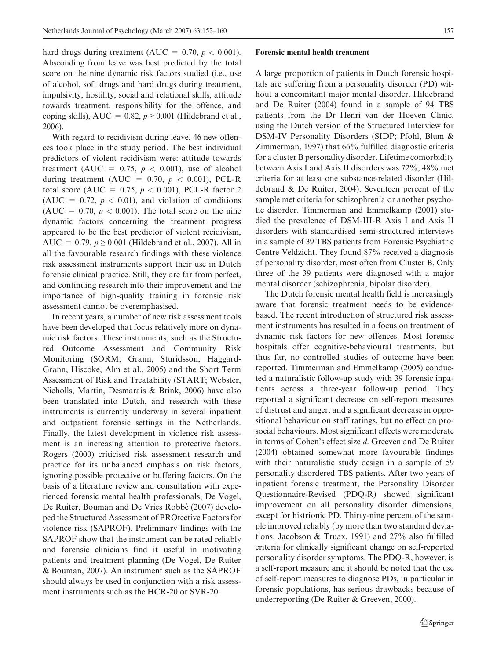hard drugs during treatment (AUC =  $0.70, p < 0.001$ ). Absconding from leave was best predicted by the total score on the nine dynamic risk factors studied (i.e., use of alcohol, soft drugs and hard drugs during treatment, impulsivity, hostility, social and relational skills, attitude towards treatment, responsibility for the offence, and coping skills), AUC = 0.82,  $p \ge 0.001$  (Hildebrand et al., 2006).

With regard to recidivism during leave, 46 new offences took place in the study period. The best individual predictors of violent recidivism were: attitude towards treatment (AUC = 0.75,  $p < 0.001$ ), use of alcohol during treatment (AUC =  $0.70, p < 0.001$ ), PCL-R total score (AUC =  $0.75$ ,  $p < 0.001$ ), PCL-R factor 2 (AUC = 0.72,  $p < 0.01$ ), and violation of conditions (AUC = 0.70,  $p < 0.001$ ). The total score on the nine dynamic factors concerning the treatment progress appeared to be the best predictor of violent recidivism, AUC = 0.79,  $p \ge 0.001$  (Hildebrand et al., 2007). All in all the favourable research findings with these violence risk assessment instruments support their use in Dutch forensic clinical practice. Still, they are far from perfect, and continuing research into their improvement and the importance of high-quality training in forensic risk assessment cannot be overemphasised.

In recent years, a number of new risk assessment tools have been developed that focus relatively more on dynamic risk factors. These instruments, such as the Structured Outcome Assessment and Community Risk Monitoring (SORM; Grann, Sturidsson, Haggard-Grann, Hiscoke, Alm et al., 2005) and the Short Term Assessment of Risk and Treatability (START; Webster, Nicholls, Martin, Desmarais & Brink, 2006) have also been translated into Dutch, and research with these instruments is currently underway in several inpatient and outpatient forensic settings in the Netherlands. Finally, the latest development in violence risk assessment is an increasing attention to protective factors. Rogers (2000) criticised risk assessment research and practice for its unbalanced emphasis on risk factors, ignoring possible protective or buffering factors. On the basis of a literature review and consultation with experienced forensic mental health professionals, De Vogel, De Ruiter, Bouman and De Vries Robbé (2007) developed the Structured Assessment of PROtective Factors for violence risk (SAPROF). Preliminary findings with the SAPROF show that the instrument can be rated reliably and forensic clinicians find it useful in motivating patients and treatment planning (De Vogel, De Ruiter & Bouman, 2007). An instrument such as the SAPROF should always be used in conjunction with a risk assessment instruments such as the HCR-20 or SVR-20.

#### Forensic mental health treatment

A large proportion of patients in Dutch forensic hospitals are suffering from a personality disorder (PD) without a concomitant major mental disorder. Hildebrand and De Ruiter (2004) found in a sample of 94 TBS patients from the Dr Henri van der Hoeven Clinic, using the Dutch version of the Structured Interview for DSM-IV Personality Disorders (SIDP; Pfohl, Blum & Zimmerman, 1997) that 66% fulfilled diagnostic criteria for a cluster B personality disorder. Lifetime comorbidity between Axis I and Axis II disorders was 72%; 48% met criteria for at least one substance-related disorder (Hildebrand & De Ruiter, 2004). Seventeen percent of the sample met criteria for schizophrenia or another psychotic disorder. Timmerman and Emmelkamp (2001) studied the prevalence of DSM-III-R Axis I and Axis II disorders with standardised semi-structured interviews in a sample of 39 TBS patients from Forensic Psychiatric Centre Veldzicht. They found 87% received a diagnosis of personality disorder, most often from Cluster B. Only three of the 39 patients were diagnosed with a major mental disorder (schizophrenia, bipolar disorder).

The Dutch forensic mental health field is increasingly aware that forensic treatment needs to be evidencebased. The recent introduction of structured risk assessment instruments has resulted in a focus on treatment of dynamic risk factors for new offences. Most forensic hospitals offer cognitive-behavioural treatments, but thus far, no controlled studies of outcome have been reported. Timmerman and Emmelkamp (2005) conducted a naturalistic follow-up study with 39 forensic inpatients across a three-year follow-up period. They reported a significant decrease on self-report measures of distrust and anger, and a significant decrease in oppositional behaviour on staff ratings, but no effect on prosocial behaviours. Most significant effects were moderate in terms of Cohen's effect size d. Greeven and De Ruiter (2004) obtained somewhat more favourable findings with their naturalistic study design in a sample of 59 personality disordered TBS patients. After two years of inpatient forensic treatment, the Personality Disorder Questionnaire-Revised (PDQ-R) showed significant improvement on all personality disorder dimensions, except for histrionic PD. Thirty-nine percent of the sample improved reliably (by more than two standard deviations; Jacobson & Truax, 1991) and 27% also fulfilled criteria for clinically significant change on self-reported personality disorder symptoms. The PDQ-R, however, is a self-report measure and it should be noted that the use of self-report measures to diagnose PDs, in particular in forensic populations, has serious drawbacks because of underreporting (De Ruiter & Greeven, 2000).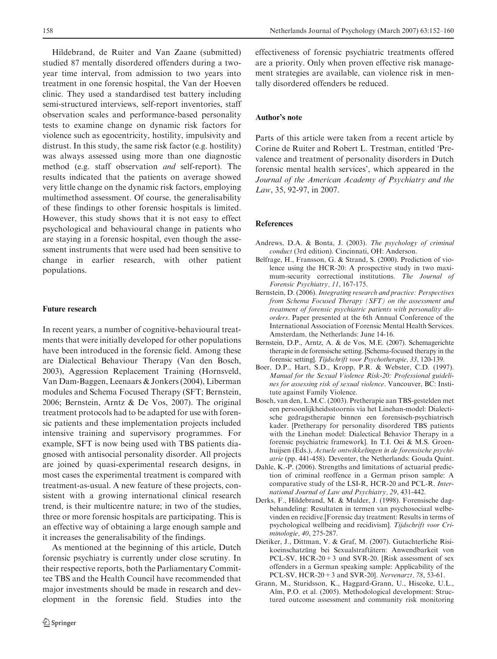Hildebrand, de Ruiter and Van Zaane (submitted) studied 87 mentally disordered offenders during a twoyear time interval, from admission to two years into treatment in one forensic hospital, the Van der Hoeven clinic. They used a standardised test battery including semi-structured interviews, self-report inventories, staff observation scales and performance-based personality tests to examine change on dynamic risk factors for violence such as egocentricity, hostility, impulsivity and distrust. In this study, the same risk factor (e.g. hostility) was always assessed using more than one diagnostic method (e.g. staff observation and self-report). The results indicated that the patients on average showed very little change on the dynamic risk factors, employing multimethod assessment. Of course, the generalisability of these findings to other forensic hospitals is limited. However, this study shows that it is not easy to effect psychological and behavioural change in patients who are staying in a forensic hospital, even though the assessment instruments that were used had been sensitive to change in earlier research, with other patient populations.

## Future research

In recent years, a number of cognitive-behavioural treatments that were initially developed for other populations have been introduced in the forensic field. Among these are Dialectical Behaviour Therapy (Van den Bosch, 2003), Aggression Replacement Training (Hornsveld, Van Dam-Baggen, Leenaars & Jonkers (2004), Liberman modules and Schema Focused Therapy (SFT; Bernstein, 2006; Bernstein, Arntz & De Vos, 2007). The original treatment protocols had to be adapted for use with forensic patients and these implementation projects included intensive training and supervisory programmes. For example, SFT is now being used with TBS patients diagnosed with antisocial personality disorder. All projects are joined by quasi-experimental research designs, in most cases the experimental treatment is compared with treatment-as-usual. A new feature of these projects, consistent with a growing international clinical research trend, is their multicentre nature; in two of the studies, three or more forensic hospitals are participating. This is an effective way of obtaining a large enough sample and it increases the generalisability of the findings.

As mentioned at the beginning of this article, Dutch forensic psychiatry is currently under close scrutiny. In their respective reports, both the Parliamentary Committee TBS and the Health Council have recommended that major investments should be made in research and development in the forensic field. Studies into the effectiveness of forensic psychiatric treatments offered are a priority. Only when proven effective risk management strategies are available, can violence risk in mentally disordered offenders be reduced.

# Author's note

Parts of this article were taken from a recent article by Corine de Ruiter and Robert L. Trestman, entitled 'Prevalence and treatment of personality disorders in Dutch forensic mental health services', which appeared in the Journal of the American Academy of Psychiatry and the Law, 35, 92-97, in 2007.

## References

- Andrews, D.A. & Bonta, J. (2003). The psychology of criminal conduct (3rd edition). Cincinnati, OH: Anderson.
- Belfrage, H., Fransson, G. & Strand, S. (2000). Prediction of violence using the HCR-20: A prospective study in two maximum-security correctional institutions. The Journal of Forensic Psychiatry, 11, 167-175.
- Bernstein, D. (2006). Integrating research and practice: Perspectives from Schema Focused Therapy (SFT) on the assessment and treatment of forensic psychiatric patients with personality disorders. Paper presented at the 6th Annual Conference of the International Association of Forensic Mental Health Services. Amsterdam, the Netherlands: June 14-16.
- Bernstein, D.P., Arntz, A. & de Vos, M.E. (2007). Schemagerichte therapie in de forensische setting. [Schema-focused therapy in the forensic setting]. Tijdschrift voor Psychotherapie, 33, 120-139.
- Boer, D.P., Hart, S.D., Kropp, P.R. & Webster, C.D. (1997). Manual for the Sexual Violence Risk-20: Professional guidelines for assessing risk of sexual violence. Vancouver, BC: Institute against Family Violence.
- Bosch, van den, L.M.C. (2003). Pretherapie aan TBS-gestelden met een persoonlijkheidsstoornis via het Linehan-model: Dialectische gedragstherapie binnen een forensisch-psychiatrisch kader. [Pretherapy for personality disordered TBS patients with the Linehan model: Dialectical Behavior Therapy in a forensic psychiatric framework]. In T.I. Oei & M.S. Groenhuijsen (Eds.), Actuele ontwikkelingen in de forensische psychiatrie (pp. 441-458). Deventer, the Netherlands: Gouda Quint.
- Dahle, K.-P. (2006). Strengths and limitations of actuarial prediction of criminal reoffence in a German prison sample: A comparative study of the LSI-R, HCR-20 and PCL-R. International Journal of Law and Psychiatry, 29, 431-442.
- Derks, F., Hildebrand, M. & Mulder, J. (1998). Forensische dagbehandeling: Resultaten in termen van psychosociaal welbevinden en recidive.[Forensic day treatment: Results in terms of psychological wellbeing and recidivism]. Tijdschrift voor Criminologie, 40, 275-287.
- Dietiker, J., Dittman, V. & Graf, M. (2007). Gutachterliche Risikoeinschatzüng bei Sexualstraftätern: Anwendbarkeit von PCL-SV, HCR-20+3 und SVR-20. [Risk assessment of sex offenders in a German speaking sample: Applicability of the PCL-SV, HCR-20+3 and SVR-20]. Nervenarzt, 78, 53-61.
- Grann, M., Sturidsson, K., Haggard-Grann, U., Hiscoke, U.L., Alm, P.O. et al. (2005). Methodological development: Structured outcome assessment and community risk monitoring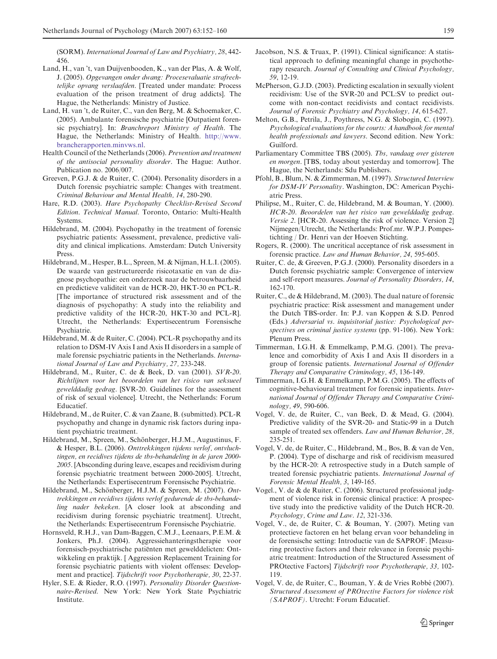(SORM). International Journal of Law and Psychiatry, 28, 442- 456.

- Land, H., van 't, van Duijvenbooden, K., van der Plas, A. & Wolf, J. (2005). Opgevangen onder dwang: Procesevaluatie strafrechtelijke opvang verslaafden. [Treated under mandate: Process evaluation of the prison treatment of drug addicts]. The Hague, the Netherlands: Ministry of Justice.
- Land, H. van 't, de Ruiter, C., van den Berg, M. & Schoemaker, C. (2005). Ambulante forensische psychiatrie [Outpatient forensic psychiatry]. In: Branchreport Ministry of Health. The Hague, the Netherlands: Ministry of Health. http://www. brancherapporten.minvws.nl.
- Health Council of the Netherlands (2006). Prevention and treatment of the antisocial personality disorder. The Hague: Author. Publication no. 2006/007.
- Greeven, P.G.J. & de Ruiter, C. (2004). Personality disorders in a Dutch forensic psychiatric sample: Changes with treatment. Criminal Behaviour and Mental Health, 14, 280-290.
- Hare, R.D. (2003). Hare Psychopathy Checklist-Revised Second Edition. Technical Manual. Toronto, Ontario: Multi-Health Systems.
- Hildebrand, M. (2004). Psychopathy in the treatment of forensic psychiatric patients: Assessment, prevalence, predictive validity and clinical implications. Amsterdam: Dutch University Press.
- Hildebrand, M., Hesper, B.L., Spreen, M. & Nijman, H.L.I. (2005). De waarde van gestructureerde risicotaxatie en van de diagnose psychopathie: een onderzoek naar de betrouwbaarheid en predictieve validiteit van de HCR-20, HKT-30 en PCL-R. [The importance of structured risk assessment and of the diagnosis of psychopathy: A study into the reliability and predictive validity of the HCR-20, HKT-30 and PCL-R]. Utrecht, the Netherlands: Expertisecentrum Forensische Psychiatrie.
- Hildebrand, M. & de Ruiter, C. (2004). PCL-R psychopathy and its relation to DSM-IV Axis I and Axis II disorders in a sample of male forensic psychiatric patients in the Netherlands. International Journal of Law and Psychiatry, 27, 233-248.
- Hildebrand, M., Ruiter, C. de & Beek, D. van (2001). SVR-20. Richtlijnen voor het beoordelen van het risico van seksueel gewelddadig gedrag. [SVR-20. Guidelines for the assessment of risk of sexual violence]. Utrecht, the Netherlands: Forum Educatief.
- Hildebrand, M., de Ruiter, C. & van Zaane, B. (submitted). PCL-R psychopathy and change in dynamic risk factors during inpatient psychiatric treatment.
- Hildebrand, M., Spreen, M., Schönberger, H.J.M., Augustinus, F. & Hesper, B.L. (2006). Onttrekkingen tijdens verlof, ontvluchtingen, en recidives tijdens de tbs-behandeling in de jaren 2000- 2005. [Absconding during leave, escapes and recidivism during forensic psychiatric treatment between 2000-2005]. Utrecht, the Netherlands: Expertisecentrum Forensische Psychiatrie.
- Hildebrand, M., Schönberger, H.J.M. & Spreen, M. (2007). Onttrekkingen en recidives tijdens verlof gedurende de tbs-behandeling nader bekeken. [A closer look at absconding and recidivism during forensic psychiatric treatment]. Utrecht, the Netherlands: Expertisecentrum Forensische Psychiatrie.
- Hornsveld, R.H.J., van Dam-Baggen, C.M.J., Leenaars, P.E.M. & Jonkers, Ph.J. (2004). Aggressiehanteringstherapie voor forensisch-psychiatrische patiënten met gewelddelicten: Ontwikkeling en praktijk. [ Aggression Replacement Training for forensic psychiatric patients with violent offenses: Development and practice]. Tijdschrift voor Psychotherapie, 30, 22-37.
- Hyler, S.E. & Rieder, R.O. (1997). Personality Disorder Questionnaire-Revised. New York: New York State Psychiatric Institute.
- Jacobson, N.S. & Truax, P. (1991). Clinical significance: A statistical approach to defining meaningful change in psychotherapy research. Journal of Consulting and Clinical Psychology, 59, 12-19.
- McPherson, G.J.D. (2003). Predicting escalation in sexually violent recidivism: Use of the SVR-20 and PCL:SV to predict outcome with non-contact recidivists and contact recidivists. Journal of Forensic Psychiatry and Psychology, 14, 615-627.
- Melton, G.B., Petrila, J., Poythress, N.G. & Slobogin, C. (1997). Psychological evaluations for the courts: A handbook for mental health professionals and lawyers. Second edition. New York: Guilford.
- Parliamentary Committee TBS (2005). Tbs, vandaag over gisteren en morgen. [TBS, today about yesterday and tomorrow]. The Hague, the Netherlands: Sdu Publishers.
- Pfohl, B., Blum, N. & Zimmerman, M. (1997). Structured Interview for DSM-IV Personality. Washington, DC: American Psychiatric Press.
- Philipse, M., Ruiter, C. de, Hildebrand, M. & Bouman, Y. (2000). HCR-20. Beoordelen van het risico van gewelddadig gedrag. Versie 2. [HCR-20. Assessing the risk of violence. Version 2] Nijmegen/Utrecht, the Netherlands: Prof.mr. W.P.J. Pompestichting / Dr. Henri van der Hoeven Stichting.
- Rogers, R. (2000). The uncritical acceptance of risk assessment in forensic practice. Law and Human Behavior, 24, 595-605.
- Ruiter, C. de, & Greeven, P.G.J. (2000). Personality disorders in a Dutch forensic psychiatric sample: Convergence of interview and self-report measures. Journal of Personality Disorders, 14, 162-170.
- Ruiter, C., de & Hildebrand, M. (2003). The dual nature of forensic psychiatric practice: Risk assessment and management under the Dutch TBS-order. In: P.J. van Koppen & S.D. Penrod (Eds.) Adversarial vs. inquisitorial justice: Psychological perspectives on criminal justice systems (pp. 91-106). New York: Plenum Press.
- Timmerman, I.G.H. & Emmelkamp, P.M.G. (2001). The prevalence and comorbidity of Axis I and Axis II disorders in a group of forensic patients. International Journal of Offender Therapy and Comparative Criminology, 45, 136-149.
- Timmerman, I.G.H. & Emmelkamp, P.M.G. (2005). The effects of cognitive-behavioural treatment for forensic inpatients. International Journal of Offender Therapy and Comparative Criminology, 49, 590-606.
- Vogel, V. de, de Ruiter, C., van Beek, D. & Mead, G. (2004). Predictive validity of the SVR-20- and Static-99 in a Dutch sample of treated sex offenders. Law and Human Behavior, 28, 235-251.
- Vogel, V. de, de Ruiter, C., Hildebrand, M., Bos, B. & van de Ven, P. (2004). Type of discharge and risk of recidivism measured by the HCR-20: A retrospective study in a Dutch sample of treated forensic psychiatric patients. International Journal of Forensic Mental Health, 3, 149-165.
- Vogel., V. de & de Ruiter, C. (2006). Structured professional judgment of violence risk in forensic clinical practice: A prospective study into the predictive validity of the Dutch HCR-20. Psychology, Crime and Law. 12, 321-336.
- Vogel, V., de, de Ruiter, C. & Bouman, Y. (2007). Meting van protectieve factoren en het belang ervan voor behandeling in de forensische setting: Introductie van de SAPROF. [Measuring protective factors and their relevance in forensic psychiatric treatment: Introduction of the Structured Assessment of PROtective Factors] Tijdschrift voor Psychotherapie, 33, 102- 119.
- Vogel, V. de, de Ruiter, C., Bouman, Y. & de Vries Robbé (2007). Structured Assessment of PROtective Factors for violence risk (SAPROF). Utrecht: Forum Educatief.